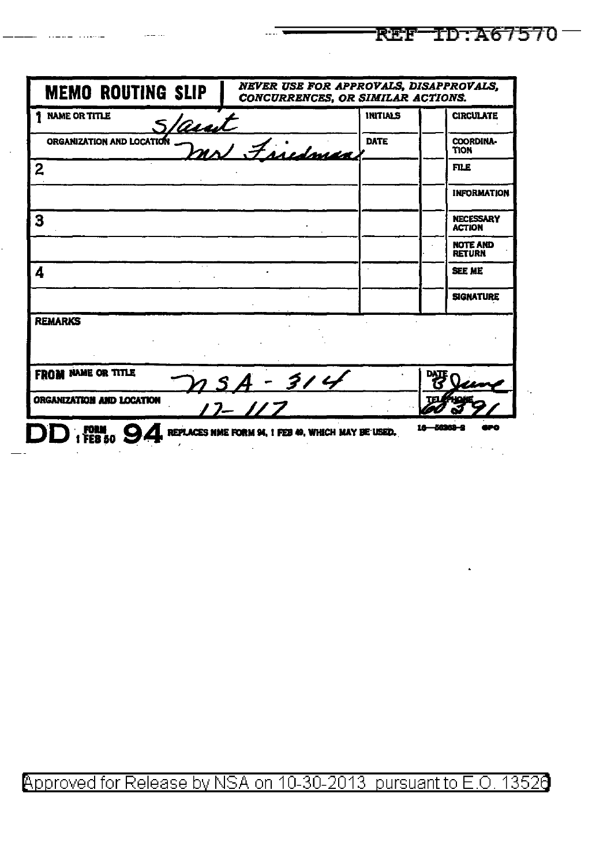| <b>INITIALS</b><br>Saut<br>mon mr Friedman<br><b>DATE</b> | <b>CIRCULATE</b><br>COORDINA-<br>TION                               |
|-----------------------------------------------------------|---------------------------------------------------------------------|
|                                                           |                                                                     |
|                                                           |                                                                     |
|                                                           | <b>FILE</b>                                                         |
|                                                           | <b>INFORMATION</b>                                                  |
|                                                           | <b>NECESSARY</b><br><b>ACTION</b>                                   |
|                                                           | NOTE AND<br><b>RETURN</b>                                           |
|                                                           | <b>SEE ME</b>                                                       |
|                                                           | <b>SIGNATURE</b>                                                    |
|                                                           |                                                                     |
|                                                           |                                                                     |
|                                                           | DATE                                                                |
|                                                           |                                                                     |
|                                                           | $21.5A - 314$<br>REPLACES NME FORM 94, 1 FEB 49, WHICH MAY BE USED. |

**REF ID: A67570** 

## Approved for Release by NSA on 10-30-2013 pursuant to E.O. 13526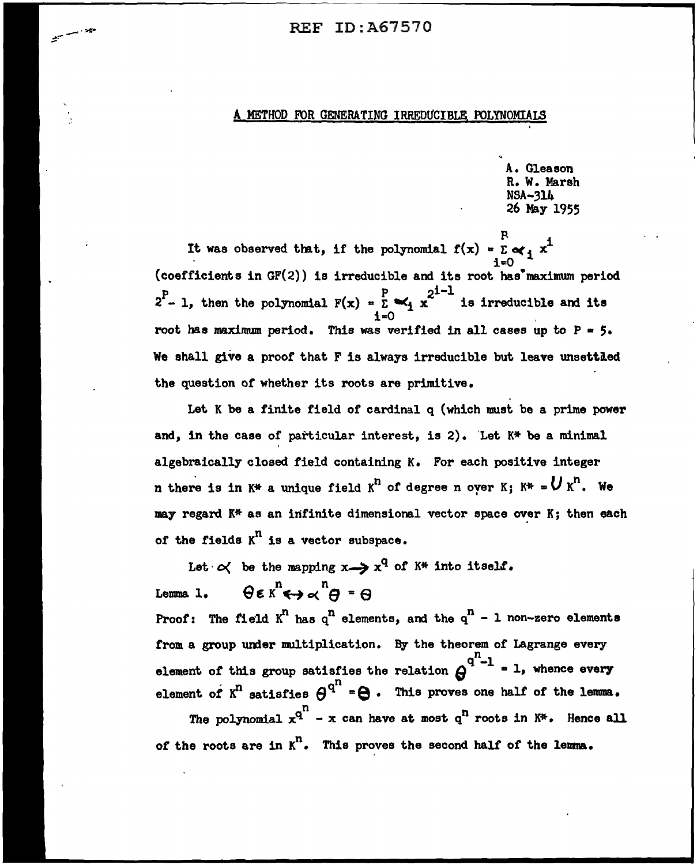## FOR GENERATING IRREDUCIBLE POLYNOMIALS

A. Gleason R. W. Marsh NSA-314 26 May 1955

It was observed that, if the polynomial  $f(x) = \sum_{i=0}^{R} x^{i}$  ${coefficients in GF(2)}$  is irreducible and its root has maximum period  $2^P$  – 1, then the polynomial  $F(x) = \sum_{k=1}^{P} x_k^{2^{1}-1}$  is irreducible and its root has maximum period. This was verified in all cases up to  $P = 5$ . We shall give a proof that F is always irreducible but leave unsettled the question or whether its roots are primitive.

Let K be a finite field or cardinal q (which must be a prime power and, in the case of particular interest, is 2). 'Let K\* be a minimal algebraically closed field containing K. For each positive integer n there is in  $K^*$  a unique field  $K^n$  of degree n over K;  $K^* = U K^n$ . We may regard K\* as an infinite dimensional vector space over K; then each of the fields  $K^n$  is a vector subspace.

Let  $\alpha'$  be the mapping  $x \rightarrow x^q$  of  $k^*$  into itself. Lemma 1.  $\theta \in K^n \leftrightarrow \infty^n \Theta = \Theta$ Proof: The field  $K^n$  has  $q^n$  elements, and the  $q^n$  - 1 non-zero elements from a group under multiplication. By the theorem of Lagrange every element of this group satisfies the relation  $\theta^{q^n-1}$  = 1, whence every element of  $K^n$  satisfies  $\theta^{q^n}$  =  $\Theta$ . This proves one half of the lemma. The polynomial  $x^{q^n}$  – x can have at most  $q^n$  roots in  $K^*$ . Hence all *ot* the roots are in K°. This proves the second halt of the lenna.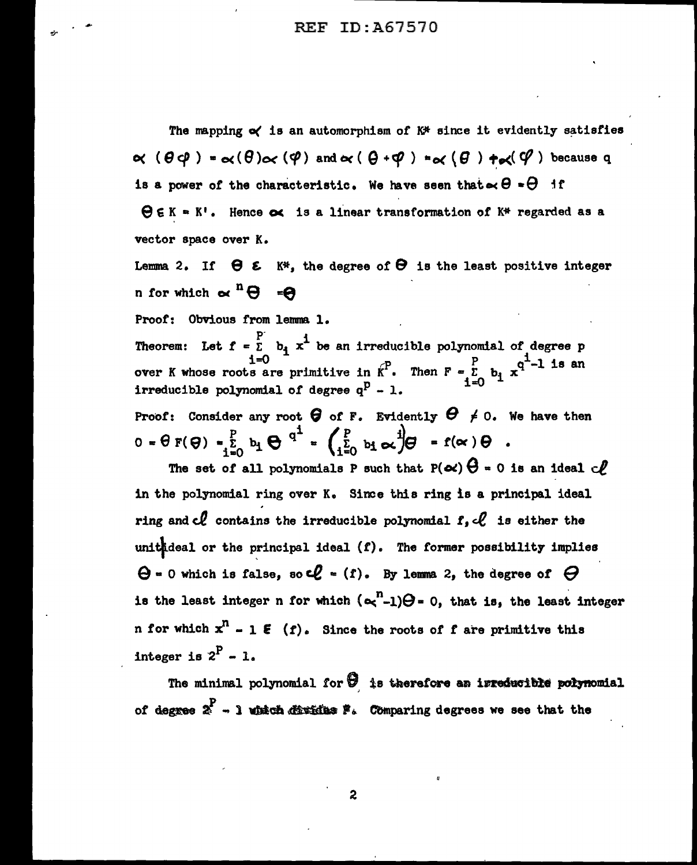REF ID:A67570

The mapping  $\alpha$  is an automorphism of  $K^*$  since it evidently satisfies  $\alpha$  ( $\theta$  $\phi$ ) =  $\alpha$ ( $\theta$ ) $\alpha$  ( $\phi$ ) and  $\alpha$  ( $\theta$  + $\phi$ ) =  $\alpha$  ( $\theta$ )  $\pm \alpha$ ( $\phi$ ) because q is a power of the characteristic. We have seen that  $\sim \Theta = \Theta$  if

 $\Theta \in K = K!$ . Hence  $\infty$  is a linear transformation of  $K^*$  regarded as a vector space over K.

Lemma 2. If  $\Theta$   $\epsilon$  K<sup>\*</sup>, the degree of  $\Theta$  is the least positive integer n for which  $\alpha^{n} \Theta = \Theta$ 

Proof: Obvious from lemma 1.

p-Theorem: Let  $f = \bar{E}$  b<sub>i</sub>  $x^L$  be an irreducible polynomial of degree p over K whose roots are primitive in  $\kappa^P$ . Then  $F = \sum_{r=0}^{P} b_r x^{q^{\frac{1}{2}}-1}$  is an irreducible polynomial of degree  $q^p - 1$ .  $1 = 0$ 

Proof: Consider any root  $\bigoplus$  of F. Evidently  $\bigoplus$   $\neq$  0. We have then  $0 = \theta F(\theta) - \sum_{i=0}^{p} b_i \theta^{q^i} = \left( \sum_{i=0}^{p} b_i \alpha^{i} \right) \theta - f(\alpha) \theta$ .

The set of all polynomials P such that  $P(\alpha) \Theta = 0$  is an ideal  $\mathcal{C}_{\ell}$ in the polynomial ring over K. Since this ring is a principal ideal ring and  $el$  contains the irreducible polynomial  $f,$   $el$  is either the unithdeal or the principal ideal  $(f)$ . The former possibility implies  $\Theta$  = 0 which is false, so  $\mathcal{L}$  = (f). By lemma 2, the degree of  $\Theta$ is the least integer n for which  $({\alpha}^n_{-1})\Theta = 0$ , that is, the least integer n for which  $x^n - 1 \in (f)$ . Since the roots of f are primitive this integer is  $2^P - 1$ .

The minimal polynomial for  $\Theta$  is therefore an irreducible polynomial *ot* degne / - l 'ldllch ~ '• Cblnparing degrees we see that the

2